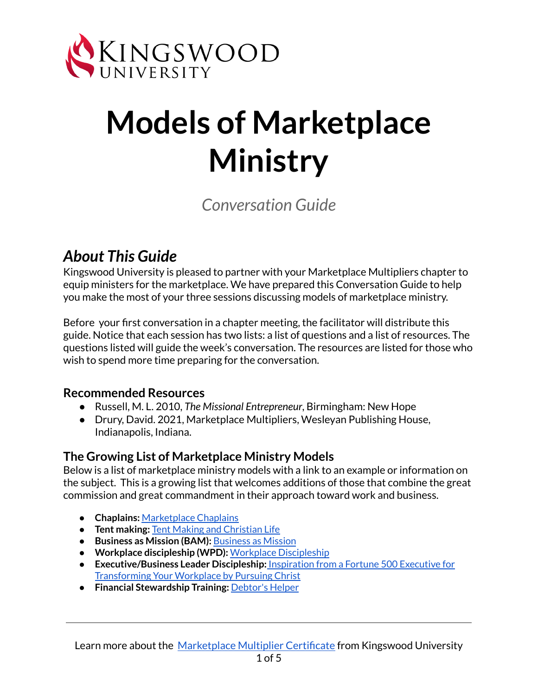

# **Models of Marketplace Ministry**

## *Conversation Guide*

### *About This Guide*

Kingswood University is pleased to partner with your Marketplace Multipliers chapter to equip ministers for the marketplace. We have prepared this Conversation Guide to help you make the most of your three sessions discussing models of marketplace ministry.

Before your first conversation in a chapter meeting, the facilitator will distribute this guide. Notice that each session has two lists: a list of questions and a list of resources. The questions listed will guide the week's conversation. The resources are listed for those who wish to spend more time preparing for the conversation.

#### **Recommended Resources**

- Russell, M. L. 2010, *The Missional Entrepreneur*, Birmingham: New Hope
- Drury, David. 2021, Marketplace Multipliers, Wesleyan Publishing House, Indianapolis, Indiana.

#### **The Growing List of Marketplace Ministry Models**

Below is a list of marketplace ministry models with a link to an example or information on the subject. This is a growing list that welcomes additions of those that combine the great commission and great commandment in their approach toward work and business.

- **Chaplains:** [Marketplace](https://www.mchapcares.com/) Chaplains
- **Tent making:** Tent Making and [Christian](https://www.theologyofwork.org/new-testament/acts/a-clash-of-kingdoms-community-and-powerbrokers-acts-13-19/tent-making-and-christian-life-acts-181-4) Life
- **Business as Mission (BAM):** [Business](https://businessasmission.com/) as Mission
- **Workplace discipleship (WPD):** Workplace [Discipleship](https://voice.dts.edu/tablepodcast/workplace-discipleship/)
- **Executive/Business Leader Discipleship:** [Inspiration](https://podcasts.apple.com/us/podcast/discipled-leader-inspiration-from-a-fortune-500/id1574969684) from a Fortune 500 Executive for [Transforming](https://podcasts.apple.com/us/podcast/discipled-leader-inspiration-from-a-fortune-500/id1574969684) Your Workplace by Pursuing Christ
- **Financial Stewardship Training:** [Debtor's](https://theaquilareport.com/debtors-helper-dave-ramsey-and-the-fast-growing-financial-stewardship-movement/) Helper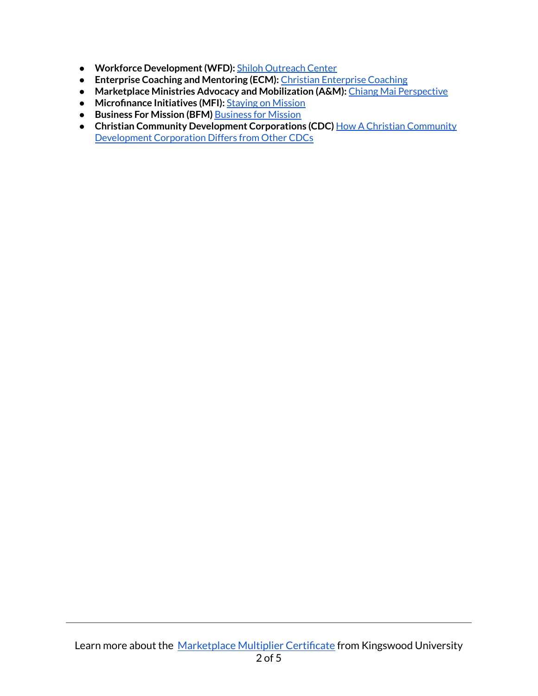- **Workforce Development(WFD):** Shiloh [Outreach](https://www.shilohoutreachc.org/) Center
- **Enterprise Coaching and Mentoring (ECM):** Christian [Enterprise](http://thegenesisfoundation.net/consulting/christian-enterprise-coaching/) Coaching
- **Marketplace Ministries Advocacy and Mobilization (A&M):** Chiang Mai [Perspective](https://edensbridge.org/2013/04/)
- **Microfinance Initiatives (MFI)[:](https://bankingforthefuture.wordpress.com/tag/mfi/)** Staying on [Mission](https://www.christianitytoday.com/ct/2011/may/stayingonmission.html)
- **Business For Mission (BFM)** [Business](https://businessformission.org/) for Mission
- **Christian Community Development Corporations (CDC)** How A Christian [Community](https://www.useful-community-development.org/Christian-community-development-corporation.html) [Development](https://www.useful-community-development.org/Christian-community-development-corporation.html) Corporation Differs from Other CDCs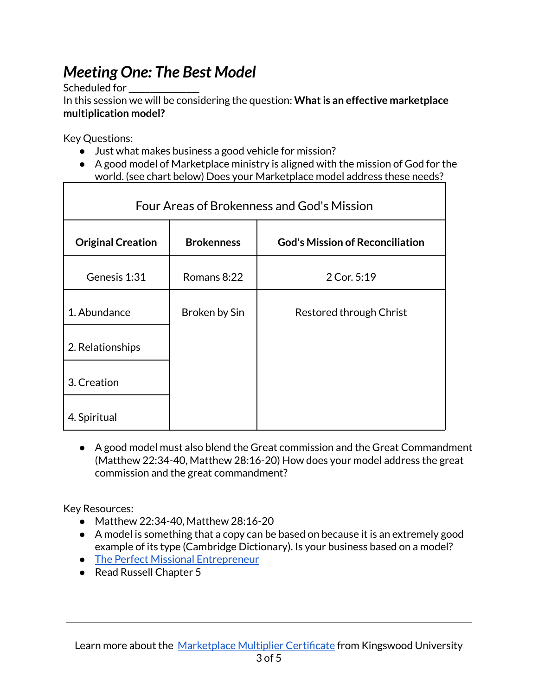## *Meeting One: The Best Model*

Scheduled for

In this session we will be considering the question: What is an effective marketplace **multiplication model?**

Key Questions:

- Just what makes business a good vehicle for mission?
- A good model of Marketplace ministry is aligned with the mission of God for the world. (see chart below) Does your Marketplace model address these needs?

| Four Areas of Brokenness and God's Mission |                   |                                        |
|--------------------------------------------|-------------------|----------------------------------------|
| <b>Original Creation</b>                   | <b>Brokenness</b> | <b>God's Mission of Reconciliation</b> |
| Genesis 1:31                               | Romans 8:22       | 2 Cor. 5:19                            |
| 1. Abundance                               | Broken by Sin     | Restored through Christ                |
| 2. Relationships                           |                   |                                        |
| 3. Creation                                |                   |                                        |
| 4. Spiritual                               |                   |                                        |

● A good model must also blend the Great commission and the Great Commandment (Matthew 22:34-40, Matthew 28:16-20) How does your model address the great commission and the great commandment?

Key Resources:

- Matthew 22:34-40, Matthew 28:16-20
- A model is something that a [copy](https://dictionary.cambridge.org/dictionary/english/copy) can be [based](https://dictionary.cambridge.org/dictionary/english/based) on because it is an extremely good example of its type (Cambridge Dictionary). Is your business based on a model?
- The Perfect Missional [Entrepreneur](https://www.navigatorsbam.org/blog/-the-perfect-missional-entrepreneur)
- Read Russell Chapter 5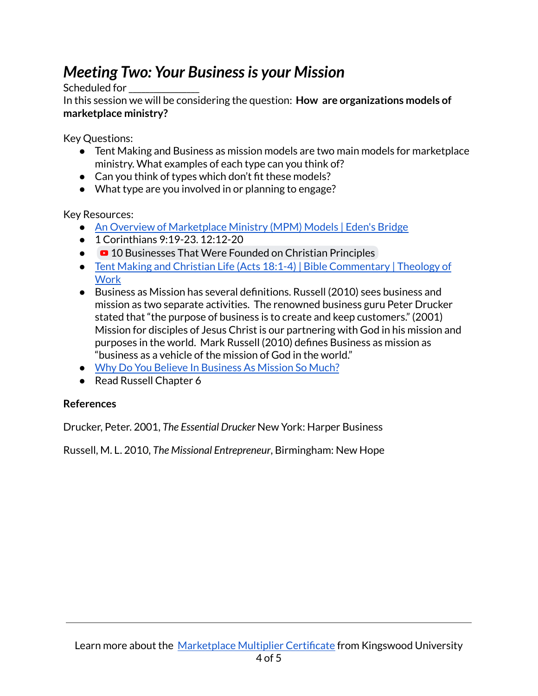## *Meeting Two: Your Businessis your Mission*

Scheduled for

In this session we will be considering the question: **How are organizations models of marketplace ministry?**

Key Questions:

- Tent Making and Business as mission models are two main models for marketplace ministry. What examples of each type can you think of?
- Can you think of types which don't fit these models?
- What type are you involved in or planning to engage?

Key Resources:

- An Overview of [Marketplace](https://edensbridge.org/2013/04/16/an-overview-of-marketplace-ministry-mpm-models/) Ministry (MPM) Models | Eden's Bridge
- 1 Corinthians 9:19-23. 12:12-20
- **2** 10 [Businesses](https://www.youtube.com/watch?v=GshhVvBVcck) That Were Founded on Christian Principles
- Tent Making and Christian Life (Acts 18:1-4) | Bible [Commentary](https://www.theologyofwork.org/new-testament/acts/a-clash-of-kingdoms-community-and-powerbrokers-acts-13-19/tent-making-and-christian-life-acts-181-4) | Theology of **[Work](https://www.theologyofwork.org/new-testament/acts/a-clash-of-kingdoms-community-and-powerbrokers-acts-13-19/tent-making-and-christian-life-acts-181-4)**
- Business as Mission has several definitions. Russell (2010) sees business and mission as two separate activities. The renowned business guru Peter Drucker stated that "the purpose of business is to create and keep customers." (2001) Mission for disciples of Jesus Christ is our partnering with God in his mission and purposes in the world. Mark Russell (2010) defines Business as mission as "business as a vehicle of the mission of God in the world."
- Why Do You Believe In [Business](https://www.youtube.com/watch?v=z5-oruLXdIc) As Mission So Much?
- Read Russell Chapter 6

#### **References**

Drucker, Peter. 2001, *The Essential Drucker* New York: Harper Business

Russell, M. L. 2010, *The Missional Entrepreneur*, Birmingham: New Hope